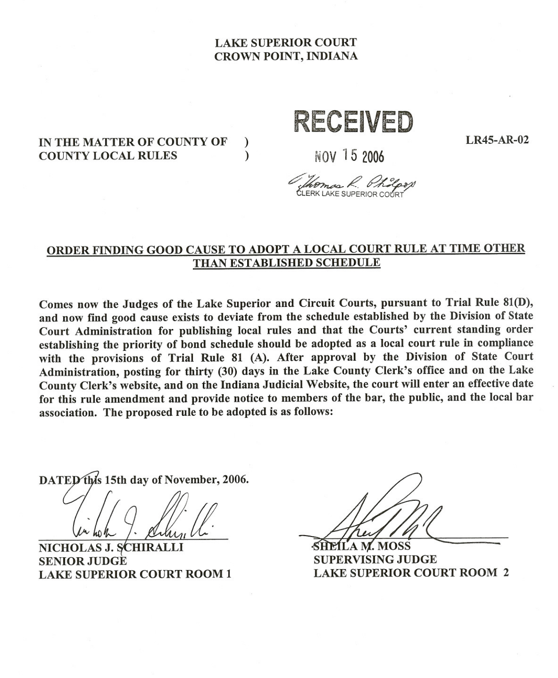# LAKE SUPERIOR COURT CROWN POINT, INDIANA

## IN THE MATTER OF COUNTY OF )<br>COUNTY LOCAL RULES COUNTY LOCAL RULES )

RECEIVED

LR45-AR-02

NOV 15 2006

# ORDER FINDING GOOD CAUSE TO ADOPT A LOCAL COURT RULE AT TIME OTHER THAN ESTABLISHED SCHEDULE

Comes now the Judges of the Lake Superior and Circuit Courts, pursuant to Trial Rule 81(D), and now find good cause exists to deviate from the schedule established by the Division of State Court Administration for publishing local rules and that the Courts' current standing order establishing the priority of bond schedule should be adopted as a local court rule in compliance with the provisions of Trial Rule 81 (A). After approval by the Division of State Court Administration, posting for thirty (30) days in the Lake County Clerk's office and on the Lake County Clerk's website, and on the Indiana Judicial Website, the court will enter an effective date for this rule amendment and provide notice to members of the bar, the public, and the local bar association. The proposed rule to be adopted is as follows:

DATED this 15th day of November, 2006.

NICHOLAS J. SCHIRALLI **SENIOR JUDGE** LAKE SUPERIOR COURT ROOM 1

*Il.* SHELLAW. MOSS

SUPERVISING JUDGE LAKE SUPERIOR COURT ROOM 2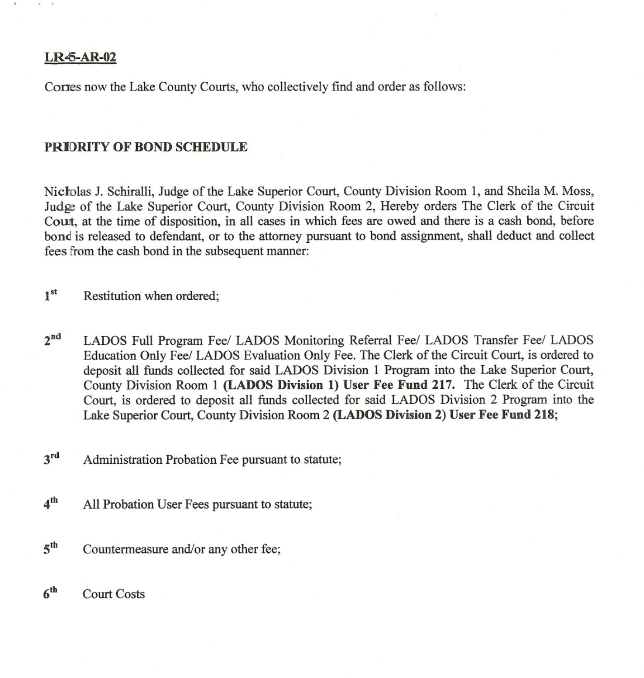### LR45-AR-02

Cones now the Lake County Courts, who collectively find and order as follows:

### PRIORITY OF BOND SCHEDULE

Nicholas J. Schiralli, Judge of the Lake Superior Court, County Division Room 1, and Sheila M. Moss, Judge of the Lake Superior Court, County Division Room 2, Hereby orders The Clerk of the Circuit Court, at the time of disposition, in all cases in which fees are owed and there is a cash bond, before bond is released to defendant, or to the attorney pursuant to bond assignment, shall deduct and collect fees from the cash bond in the subsequent manner:

- 1<sup>st</sup> Restitution when ordered:
- 2nd LADOS Full Program *Feel* LADOS Monitoring Referral *Feel* LADOS Transfer *Feel* LADOS Education Only *Feel* LADOS Evaluation Only Fee. The Clerk of the Circuit Court, is ordered to deposit all funds collected for said LADOS Division I Program into the Lake Superior Court, County Division Room I (LADOS Division 1) User Fee Fund 217. The Clerk of the Circuit Court, is ordered to deposit all funds collected for said LADOS Division 2 Program into the Lake Superior Court, County Division Room 2 (LADOS Division 2) User Fee Fund 218;
- 3<sup>rd</sup> Administration Probation Fee pursuant to statute:
- 4<sup>th</sup> All Probation User Fees pursuant to statute;
- 5<sup>th</sup> Countermeasure and/or any other fee;
- 6th Court Costs